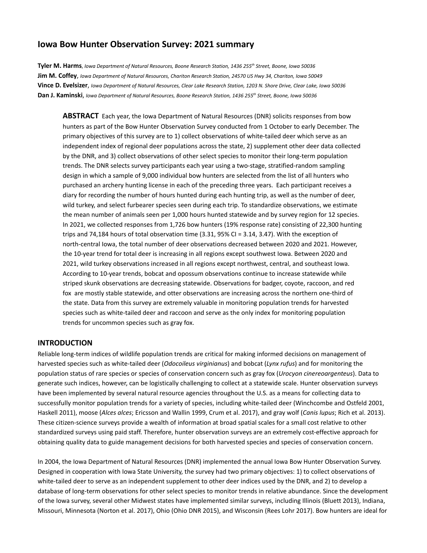#### **Iowa Bow Hunter Observation Survey: 2021 summary**

Tyler M. Harms, Iowa Department of Natural Resources, Boone Research Station, 1436 255<sup>th</sup> Street, Boone, Iowa 50036 Jim M. Coffey, Iowa Department of Natural Resources, Chariton Research Station, 24570 US Hwy 34, Chariton, Iowa 50049 Vince D. Evelsizer, Iowa Department of Natural Resources, Clear Lake Research Station, 1203 N. Shore Drive, Clear Lake, Iowa 50036 Dan J. Kaminski, Iowa Department of Natural Resources, Boone Research Station, 1436 255<sup>th</sup> Street, Boone, Iowa 50036

**ABSTRACT** Each year, the Iowa Department of Natural Resources (DNR) solicits responses from bow hunters as part of the Bow Hunter Observation Survey conducted from 1 October to early December. The primary objectives of this survey are to 1) collect observations of white-tailed deer which serve as an independent index of regional deer populations across the state, 2) supplement other deer data collected by the DNR, and 3) collect observations of other select species to monitor their long-term population trends. The DNR selects survey participants each year using a two-stage, stratified-random sampling design in which a sample of 9,000 individual bow hunters are selected from the list of all hunters who purchased an archery hunting license in each of the preceding three years. Each participant receives a diary for recording the number of hours hunted during each hunting trip, as well as the number of deer, wild turkey, and select furbearer species seen during each trip. To standardize observations, we estimate the mean number of animals seen per 1,000 hours hunted statewide and by survey region for 12 species. In 2021, we collected responses from 1,726 bow hunters (19% response rate) consisting of 22,300 hunting trips and 74,184 hours of total observation time (3.31, 95% CI = 3.14, 3.47). With the exception of north-central Iowa, the total number of deer observations decreased between 2020 and 2021. However, the 10-year trend for total deer is increasing in all regions except southwest Iowa. Between 2020 and 2021, wild turkey observations increased in all regions except northwest, central, and southeast Iowa. According to 10-year trends, bobcat and opossum observations continue to increase statewide while striped skunk observations are decreasing statewide. Observations for badger, coyote, raccoon, and red fox are mostly stable statewide, and otter observations are increasing across the northern one-third of the state. Data from this survey are extremely valuable in monitoring population trends for harvested species such as white-tailed deer and raccoon and serve as the only index for monitoring population trends for uncommon species such as gray fox.

#### **INTRODUCTION**

Reliable long-term indices of wildlife population trends are critical for making informed decisions on management of harvested species such as white-tailed deer (*Odocoileus virginianus*) and bobcat (*Lynx rufus*) and for monitoring the population status of rare species or species of conservation concern such as gray fox (*Urocyon cinereoargenteus*). Data to generate such indices, however, can be logistically challenging to collect at a statewide scale. Hunter observation surveys have been implemented by several natural resource agencies throughout the U.S. as a means for collecting data to successfully monitor population trends for a variety of species, including white-tailed deer (Winchcombe and Ostfeld 2001, Haskell 2011), moose (*Alces alces*; Ericsson and Wallin 1999, Crum et al. 2017), and gray wolf (*Canis lupus*; Rich et al. 2013). These citizen-science surveys provide a wealth of information at broad spatial scales for a small cost relative to other standardized surveys using paid staff. Therefore, hunter observation surveys are an extremely cost-effective approach for obtaining quality data to guide management decisions for both harvested species and species of conservation concern.

In 2004, the Iowa Department of Natural Resources (DNR) implemented the annual Iowa Bow Hunter Observation Survey. Designed in cooperation with Iowa State University, the survey had two primary objectives: 1) to collect observations of white-tailed deer to serve as an independent supplement to other deer indices used by the DNR, and 2) to develop a database of long-term observations for other select species to monitor trends in relative abundance. Since the development of the Iowa survey, several other Midwest states have implemented similar surveys, including Illinois (Bluett 2013), Indiana, Missouri, Minnesota (Norton et al. 2017), Ohio (Ohio DNR 2015), and Wisconsin (Rees Lohr 2017). Bow hunters are ideal for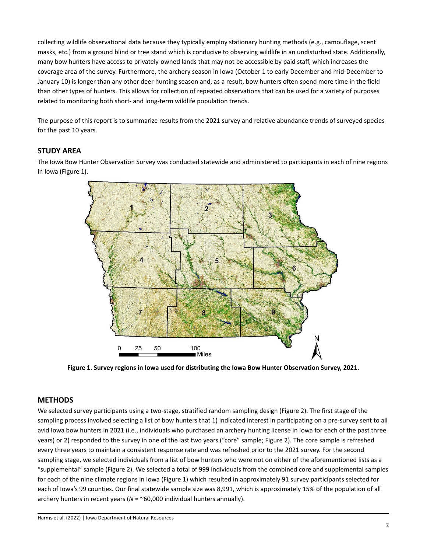collecting wildlife observational data because they typically employ stationary hunting methods (e.g., camouflage, scent masks, etc.) from a ground blind or tree stand which is conducive to observing wildlife in an undisturbed state. Additionally, many bow hunters have access to privately-owned lands that may not be accessible by paid staff, which increases the coverage area of the survey. Furthermore, the archery season in Iowa (October 1 to early December and mid-December to January 10) is longer than any other deer hunting season and, as a result, bow hunters often spend more time in the field than other types of hunters. This allows for collection of repeated observations that can be used for a variety of purposes related to monitoring both short- and long-term wildlife population trends.

The purpose of this report is to summarize results from the 2021 survey and relative abundance trends of surveyed species for the past 10 years.

#### **STUDY AREA**

The Iowa Bow Hunter Observation Survey was conducted statewide and administered to participants in each of nine regions in Iowa (Figure 1).



**Figure 1. Survey regions in Iowa used for distributing the Iowa Bow Hunter Observation Survey, 2021.**

#### **METHODS**

We selected survey participants using a two-stage, stratified random sampling design (Figure 2). The first stage of the sampling process involved selecting a list of bow hunters that 1) indicated interest in participating on a pre-survey sent to all avid Iowa bow hunters in 2021 (i.e., individuals who purchased an archery hunting license in Iowa for each of the past three years) or 2) responded to the survey in one of the last two years ("core" sample; Figure 2). The core sample is refreshed every three years to maintain a consistent response rate and was refreshed prior to the 2021 survey. For the second sampling stage, we selected individuals from a list of bow hunters who were not on either of the aforementioned lists as a "supplemental" sample (Figure 2). We selected a total of 999 individuals from the combined core and supplemental samples for each of the nine climate regions in Iowa (Figure 1) which resulted in approximately 91 survey participants selected for each of Iowa's 99 counties. Our final statewide sample size was 8,991, which is approximately 15% of the population of all archery hunters in recent years (*N* = ~60,000 individual hunters annually).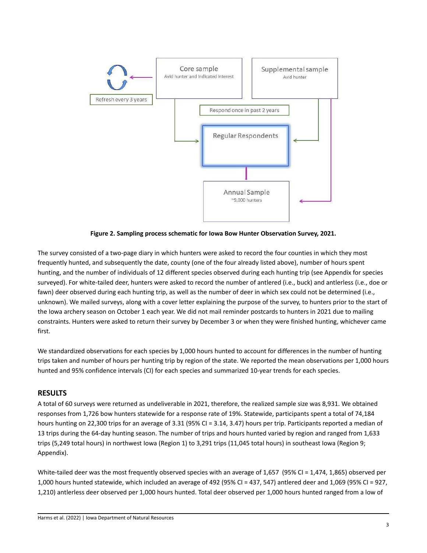

**Figure 2. Sampling process schematic for Iowa Bow Hunter Observation Survey, 2021.**

The survey consisted of a two-page diary in which hunters were asked to record the four counties in which they most frequently hunted, and subsequently the date, county (one of the four already listed above), number of hours spent hunting, and the number of individuals of 12 different species observed during each hunting trip (see Appendix for species surveyed). For white-tailed deer, hunters were asked to record the number of antlered (i.e., buck) and antlerless (i.e., doe or fawn) deer observed during each hunting trip, as well as the number of deer in which sex could not be determined (i.e., unknown). We mailed surveys, along with a cover letter explaining the purpose of the survey, to hunters prior to the start of the Iowa archery season on October 1 each year. We did not mail reminder postcards to hunters in 2021 due to mailing constraints. Hunters were asked to return their survey by December 3 or when they were finished hunting, whichever came first.

We standardized observations for each species by 1,000 hours hunted to account for differences in the number of hunting trips taken and number of hours per hunting trip by region of the state. We reported the mean observations per 1,000 hours hunted and 95% confidence intervals (CI) for each species and summarized 10-year trends for each species.

#### **RESULTS**

A total of 60 surveys were returned as undeliverable in 2021, therefore, the realized sample size was 8,931. We obtained responses from 1,726 bow hunters statewide for a response rate of 19%. Statewide, participants spent a total of 74,184 hours hunting on 22,300 trips for an average of 3.31 (95% CI = 3.14, 3.47) hours per trip. Participants reported a median of 13 trips during the 64-day hunting season. The number of trips and hours hunted varied by region and ranged from 1,633 trips (5,249 total hours) in northwest Iowa (Region 1) to 3,291 trips (11,045 total hours) in southeast Iowa (Region 9; Appendix).

White-tailed deer was the most frequently observed species with an average of 1,657 (95% CI = 1,474, 1,865) observed per 1,000 hours hunted statewide, which included an average of 492 (95% CI = 437, 547) antlered deer and 1,069 (95% CI = 927, 1,210) antlerless deer observed per 1,000 hours hunted. Total deer observed per 1,000 hours hunted ranged from a low of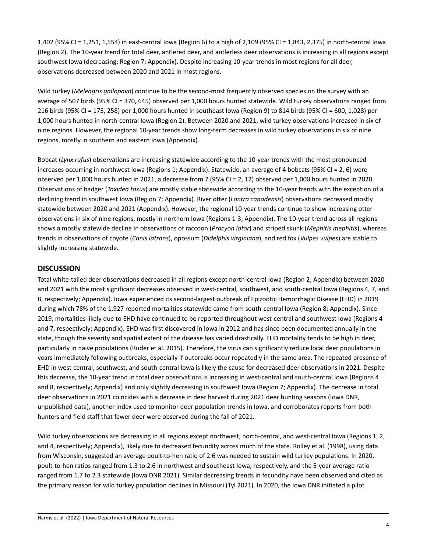1,402 (95% CI = 1,251, 1,554) in east-central Iowa (Region 6) to a high of 2,109 (95% CI = 1,843, 2,375) in north-central Iowa (Region 2). The 10-year trend for total deer, antlered deer, and antlerless deer observations is increasing in all regions except southwest Iowa (decreasing; Region 7; Appendix). Despite increasing 10-year trends in most regions for all deer, observations decreased between 2020 and 2021 in most regions.

Wild turkey (*Meleagris gallopavo*) continue to be the second-most frequently observed species on the survey with an average of 507 birds (95% CI = 370, 645) observed per 1,000 hours hunted statewide. Wild turkey observations ranged from 216 birds (95% CI = 175, 258) per 1,000 hours hunted in southeast Iowa (Region 9) to 814 birds (95% CI = 600, 1,028) per 1,000 hours hunted in north-central Iowa (Region 2). Between 2020 and 2021, wild turkey observations increased in six of nine regions. However, the regional 10-year trends show long-term decreases in wild turkey observations in six of nine regions, mostly in southern and eastern Iowa (Appendix).

Bobcat (*Lynx rufus*) observations are increasing statewide according to the 10-year trends with the most pronounced increases occurring in northwest Iowa (Regions 1; Appendix). Statewide, an average of 4 bobcats (95% CI = 2, 6) were observed per 1,000 hours hunted in 2021, a decrease from 7 (95% CI = 2, 12) observed per 1,000 hours hunted in 2020. Observations of badger (*Taxidea taxus*) are mostly stable statewide according to the 10-year trends with the exception of a declining trend in southwest Iowa (Region 7; Appendix). River otter (*Lontra canadensis*) observations decreased mostly statewide between 2020 and 2021 (Appendix). However, the regional 10-year trends continue to show increasing otter observations in six of nine regions, mostly in northern Iowa (Regions 1-3; Appendix). The 10-year trend across all regions shows a mostly statewide decline in observations of raccoon (*Procyon lotor*) and striped skunk (*Mephitis mephitis*), whereas trends in observations of coyote (*Canis latrans*), opossum (*Didelphis virginiana*), and red fox (*Vulpes vulpes*) are stable to slightly increasing statewide.

#### **DISCUSSION**

Total white-tailed deer observations decreased in all regions except north-central Iowa (Region 2; Appendix) between 2020 and 2021 with the most significant decreases observed in west-central, southwest, and south-central Iowa (Regions 4, 7, and 8, respectively; Appendix). Iowa experienced its second-largest outbreak of Epizootic Hemorrhagic Disease (EHD) in 2019 during which 78% of the 1,927 reported mortalities statewide came from south-central Iowa (Region 8; Appendix). Since 2019, mortalities likely due to EHD have continued to be reported throughout west-central and southwest Iowa (Regions 4 and 7, respectively; Appendix). EHD was first discovered in Iowa in 2012 and has since been documented annually in the state, though the severity and spatial extent of the disease has varied drastically. EHD mortality tends to be high in deer, particularly in naive populations (Ruder et al. 2015). Therefore, the virus can significantly reduce local deer populations in years immediately following outbreaks, especially if outbreaks occur repeatedly in the same area. The repeated presence of EHD in west-central, southwest, and south-central Iowa is likely the cause for decreased deer observations in 2021. Despite this decrease, the 10-year trend in total deer observations is increasing in west-central and south-central Iowa (Regions 4 and 8, respectively; Appendix) and only slightly decreasing in southwest Iowa (Region 7; Appendix). The decrease in total deer observations in 2021 coincides with a decrease in deer harvest during 2021 deer hunting seasons (Iowa DNR, unpublished data), another index used to monitor deer population trends in Iowa, and corroborates reports from both hunters and field staff that fewer deer were observed during the fall of 2021.

Wild turkey observations are decreasing in all regions except northwest, north-central, and west-central Iowa (Regions 1, 2, and 4, respectively; Appendix), likely due to decreased fecundity across much of the state. Rolley et al. (1998), using data from Wisconsin, suggested an average poult-to-hen ratio of 2.6 was needed to sustain wild turkey populations. In 2020, poult-to-hen ratios ranged from 1.3 to 2.6 in northwest and southeast Iowa, respectively, and the 5-year average ratio ranged from 1.7 to 2.3 statewide (Iowa DNR 2021). Similar decreasing trends in fecundity have been observed and cited as the primary reason for wild turkey population declines in Missouri (Tyl 2021). In 2020, the Iowa DNR initiated a pilot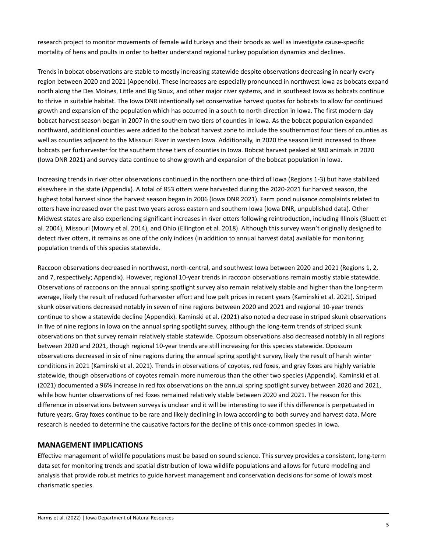research project to monitor movements of female wild turkeys and their broods as well as investigate cause-specific mortality of hens and poults in order to better understand regional turkey population dynamics and declines.

Trends in bobcat observations are stable to mostly increasing statewide despite observations decreasing in nearly every region between 2020 and 2021 (Appendix). These increases are especially pronounced in northwest Iowa as bobcats expand north along the Des Moines, Little and Big Sioux, and other major river systems, and in southeast Iowa as bobcats continue to thrive in suitable habitat. The Iowa DNR intentionally set conservative harvest quotas for bobcats to allow for continued growth and expansion of the population which has occurred in a south to north direction in Iowa. The first modern-day bobcat harvest season began in 2007 in the southern two tiers of counties in Iowa. As the bobcat population expanded northward, additional counties were added to the bobcat harvest zone to include the southernmost four tiers of counties as well as counties adjacent to the Missouri River in western Iowa. Additionally, in 2020 the season limit increased to three bobcats per furharvester for the southern three tiers of counties in Iowa. Bobcat harvest peaked at 980 animals in 2020 (Iowa DNR 2021) and survey data continue to show growth and expansion of the bobcat population in Iowa.

Increasing trends in river otter observations continued in the northern one-third of Iowa (Regions 1-3) but have stabilized elsewhere in the state (Appendix). A total of 853 otters were harvested during the 2020-2021 fur harvest season, the highest total harvest since the harvest season began in 2006 (Iowa DNR 2021). Farm pond nuisance complaints related to otters have increased over the past two years across eastern and southern Iowa (Iowa DNR, unpublished data). Other Midwest states are also experiencing significant increases in river otters following reintroduction, including Illinois (Bluett et al. 2004), Missouri (Mowry et al. 2014), and Ohio (Ellington et al. 2018). Although this survey wasn't originally designed to detect river otters, it remains as one of the only indices (in addition to annual harvest data) available for monitoring population trends of this species statewide.

Raccoon observations decreased in northwest, north-central, and southwest Iowa between 2020 and 2021 (Regions 1, 2, and 7, respectively; Appendix). However, regional 10-year trends in raccoon observations remain mostly stable statewide. Observations of raccoons on the annual spring spotlight survey also remain relatively stable and higher than the long-term average, likely the result of reduced furharvester effort and low pelt prices in recent years (Kaminski et al. 2021). Striped skunk observations decreased notably in seven of nine regions between 2020 and 2021 and regional 10-year trends continue to show a statewide decline (Appendix). Kaminski et al. (2021) also noted a decrease in striped skunk observations in five of nine regions in Iowa on the annual spring spotlight survey, although the long-term trends of striped skunk observations on that survey remain relatively stable statewide. Opossum observations also decreased notably in all regions between 2020 and 2021, though regional 10-year trends are still increasing for this species statewide. Opossum observations decreased in six of nine regions during the annual spring spotlight survey, likely the result of harsh winter conditions in 2021 (Kaminski et al. 2021). Trends in observations of coyotes, red foxes, and gray foxes are highly variable statewide, though observations of coyotes remain more numerous than the other two species (Appendix). Kaminski et al. (2021) documented a 96% increase in red fox observations on the annual spring spotlight survey between 2020 and 2021, while bow hunter observations of red foxes remained relatively stable between 2020 and 2021. The reason for this difference in observations between surveys is unclear and it will be interesting to see if this difference is perpetuated in future years. Gray foxes continue to be rare and likely declining in Iowa according to both survey and harvest data. More research is needed to determine the causative factors for the decline of this once-common species in Iowa.

#### **MANAGEMENT IMPLICATIONS**

Effective management of wildlife populations must be based on sound science. This survey provides a consistent, long-term data set for monitoring trends and spatial distribution of Iowa wildlife populations and allows for future modeling and analysis that provide robust metrics to guide harvest management and conservation decisions for some of Iowa's most charismatic species.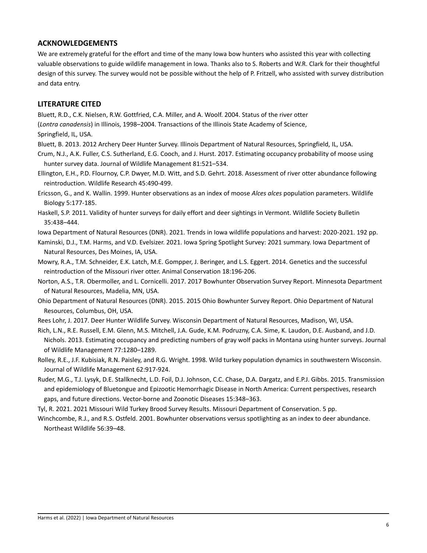#### **ACKNOWLEDGEMENTS**

We are extremely grateful for the effort and time of the many Iowa bow hunters who assisted this year with collecting valuable observations to guide wildlife management in Iowa. Thanks also to S. Roberts and W.R. Clark for their thoughtful design of this survey. The survey would not be possible without the help of P. Fritzell, who assisted with survey distribution and data entry.

#### **LITERATURE CITED**

Bluett, R.D., C.K. Nielsen, R.W. Gottfried, C.A. Miller, and A. Woolf. 2004. Status of the river otter

(*Lontra canadensis*) in Illinois, 1998–2004. Transactions of the Illinois State Academy of Science,

- Springfield, IL, USA.
- Bluett, B. 2013. 2012 Archery Deer Hunter Survey. Illinois Department of Natural Resources, Springfield, IL, USA.
- Crum, N.J., A.K. Fuller, C.S. Sutherland, E.G. Cooch, and J. Hurst. 2017. Estimating occupancy probability of moose using hunter survey data. Journal of Wildlife Management 81:521–534.
- Ellington, E.H., P.D. Flournoy, C.P. Dwyer, M.D. Witt, and S.D. Gehrt. 2018. Assessment of river otter abundance following reintroduction. Wildlife Research 45:490-499.
- Ericsson, G., and K. Wallin. 1999. Hunter observations as an index of moose *Alces alces* population parameters. Wildlife Biology 5:177-185.
- Haskell, S.P. 2011. Validity of hunter surveys for daily effort and deer sightings in Vermont. Wildlife Society Bulletin 35:438–444.

Iowa Department of Natural Resources (DNR). 2021. Trends in Iowa wildlife populations and harvest: 2020-2021. 192 pp.

- Kaminski, D.J., T.M. Harms, and V.D. Evelsizer. 2021. Iowa Spring Spotlight Survey: 2021 summary. Iowa Department of Natural Resources, Des Moines, IA, USA.
- Mowry, R.A., T.M. Schneider, E.K. Latch, M.E. Gompper, J. Beringer, and L.S. Eggert. 2014. Genetics and the successful reintroduction of the Missouri river otter. Animal Conservation 18:196-206.
- Norton, A.S., T.R. Obermoller, and L. Cornicelli. 2017. 2017 Bowhunter Observation Survey Report. Minnesota Department of Natural Resources, Madelia, MN, USA.
- Ohio Department of Natural Resources (DNR). 2015. 2015 Ohio Bowhunter Survey Report. Ohio Department of Natural Resources, Columbus, OH, USA.
- Rees Lohr, J. 2017. Deer Hunter Wildlife Survey. Wisconsin Department of Natural Resources, Madison, WI, USA.
- Rich, L.N., R.E. Russell, E.M. Glenn, M.S. Mitchell, J.A. Gude, K.M. Podruzny, C.A. Sime, K. Laudon, D.E. Ausband, and J.D. Nichols. 2013. Estimating occupancy and predicting numbers of gray wolf packs in Montana using hunter surveys. Journal of Wildlife Management 77:1280–1289.
- Rolley, R.E., J.F. Kubisiak, R.N. Paisley, and R.G. Wright. 1998. Wild turkey population dynamics in southwestern Wisconsin. Journal of Wildlife Management 62:917-924.
- Ruder, M.G., T.J. Lysyk, D.E. Stallknecht, L.D. Foil, D.J. Johnson, C.C. Chase, D.A. Dargatz, and E.P.J. Gibbs. 2015. Transmission and epidemiology of Bluetongue and Epizootic Hemorrhagic Disease in North America: Current perspectives, research gaps, and future directions. Vector-borne and Zoonotic Diseases 15:348–363.

Tyl, R. 2021. 2021 Missouri Wild Turkey Brood Survey Results. Missouri Department of Conservation. 5 pp.

Winchcombe, R.J., and R.S. Ostfeld. 2001. Bowhunter observations versus spotlighting as an index to deer abundance. Northeast Wildlife 56:39–48.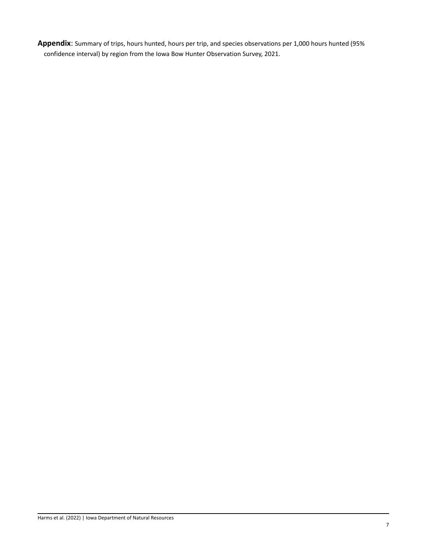**Appendix**: Summary of trips, hours hunted, hours per trip, and species observations per 1,000 hours hunted (95% confidence interval) by region from the Iowa Bow Hunter Observation Survey, 2021.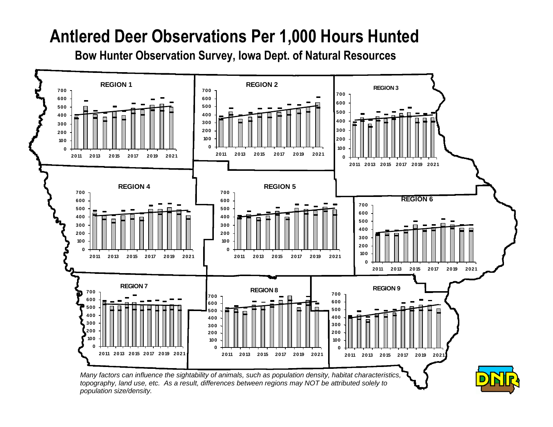### **Antlered Deer Observations Per 1,000 Hours Hunted**

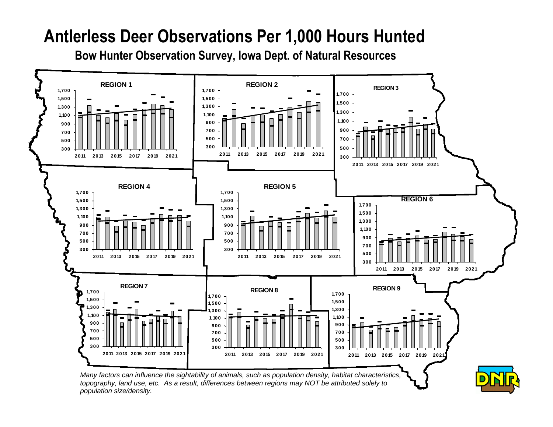### **Antlerless Deer Observations Per 1,000 Hours Hunted**

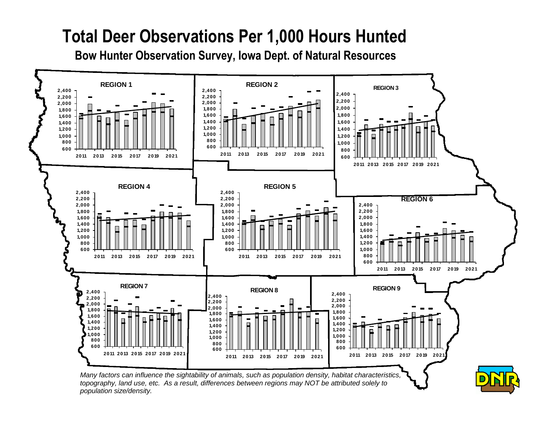## **Total Deer Observations Per 1,000 Hours Hunted**

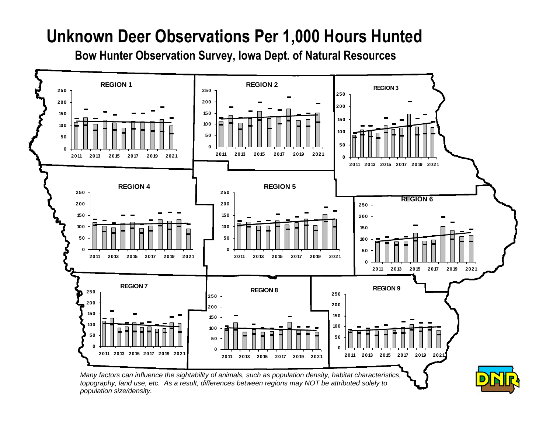### **Unknown Deer Observations Per 1,000 Hours Hunted**

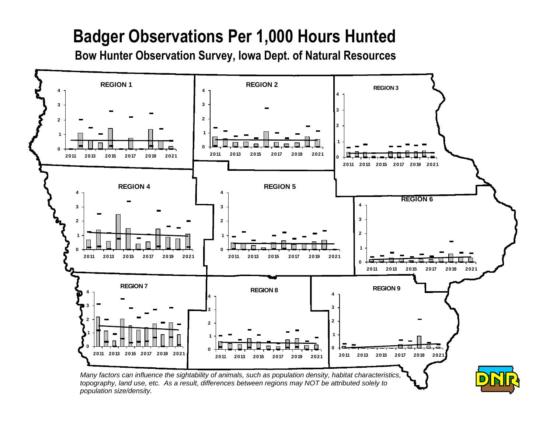## **Badger Observations Per 1,000 Hours Hunted**

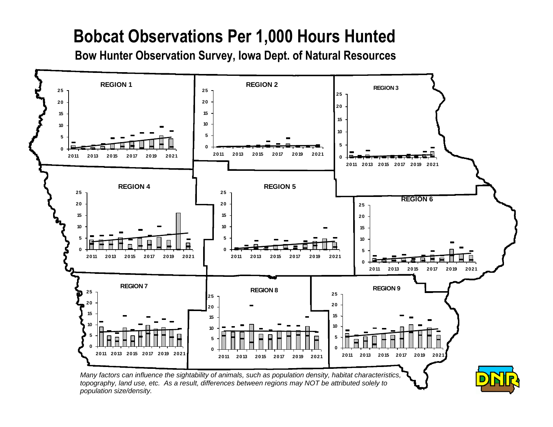# **Bobcat Observations Per 1,000 Hours Hunted**

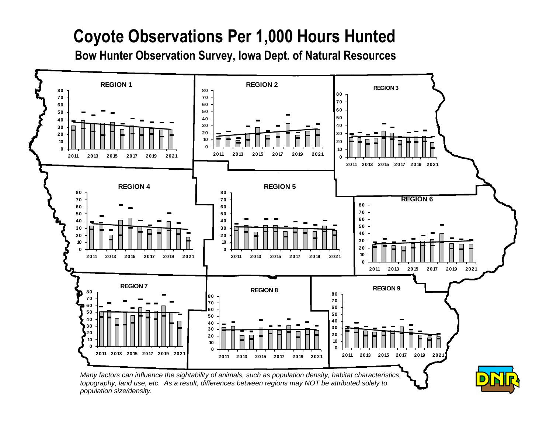# **Coyote Observations Per 1,000 Hours Hunted**

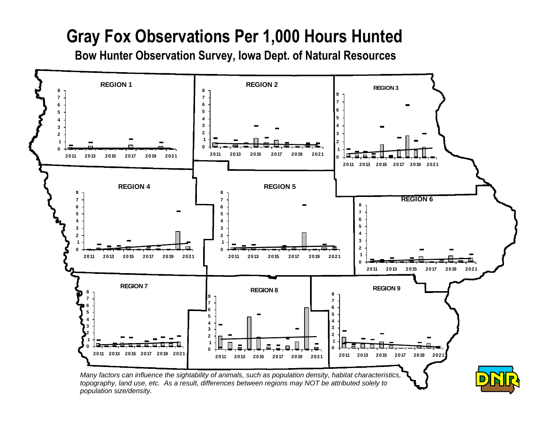# **Gray Fox Observations Per 1,000 Hours Hunted**

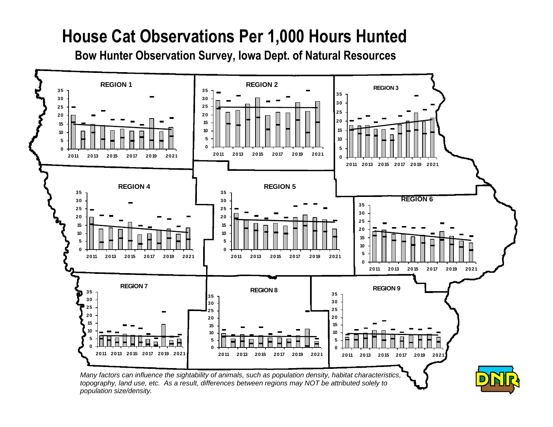### **House Cat Observations Per 1,000 Hours Hunted**

**Bow Hunter Observation Survey, Iowa Dept. of Natural Resources**



*population size/density.*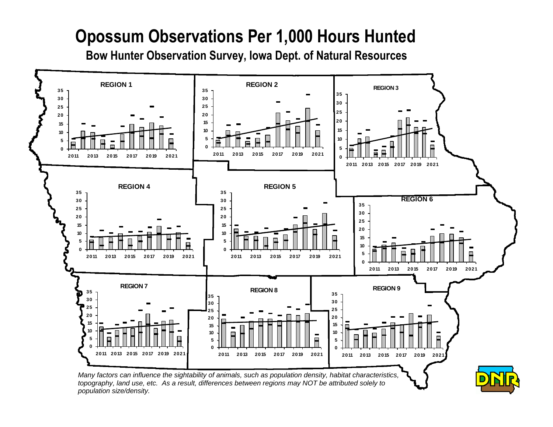# **Opossum Observations Per 1,000 Hours Hunted**

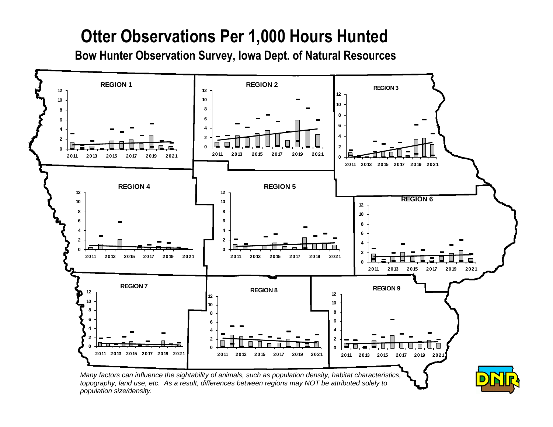# **Otter Observations Per 1,000 Hours Hunted**

**Bow Hunter Observation Survey, Iowa Dept. of Natural Resources**



*population size/density.*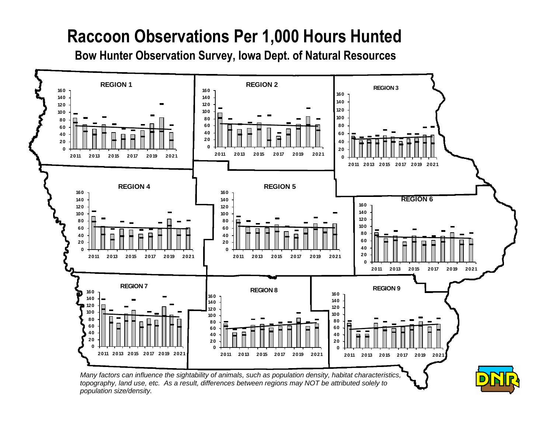## **Raccoon Observations Per 1,000 Hours Hunted**

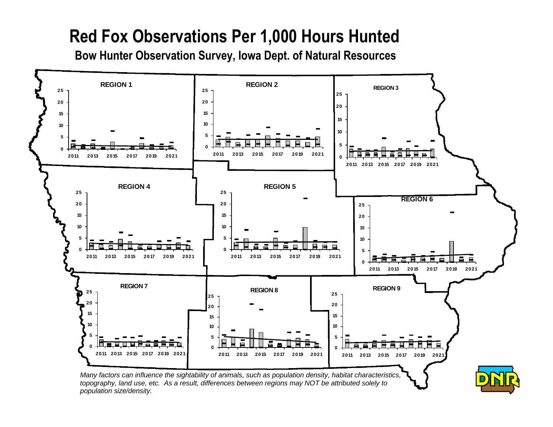## **Red Fox Observations Per 1,000 Hours Hunted**

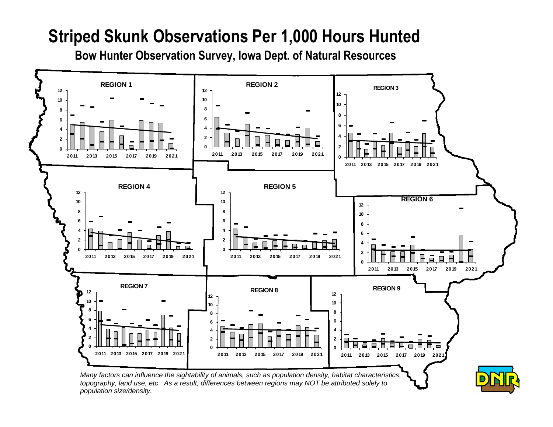### **Striped Skunk Observations Per 1,000 Hours Hunted**

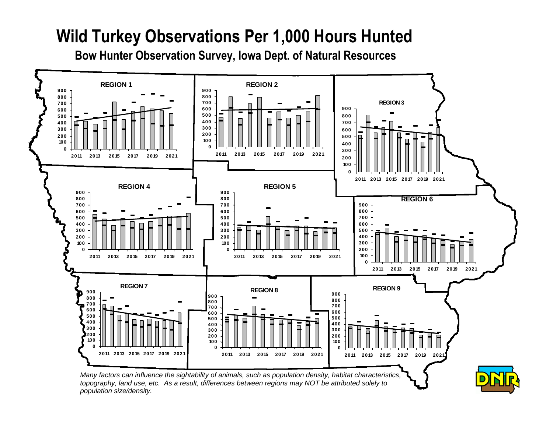# **Wild Turkey Observations Per 1,000 Hours Hunted**

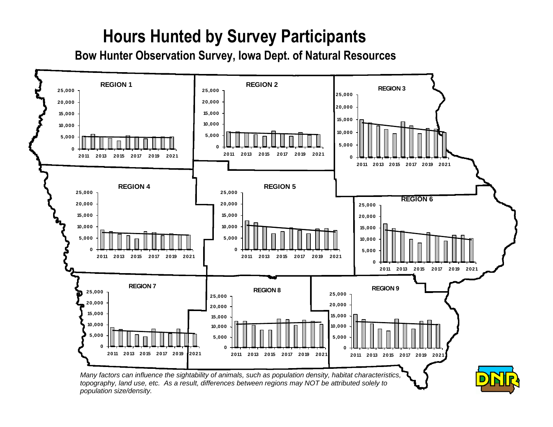# **Hours Hunted by Survey Participants**

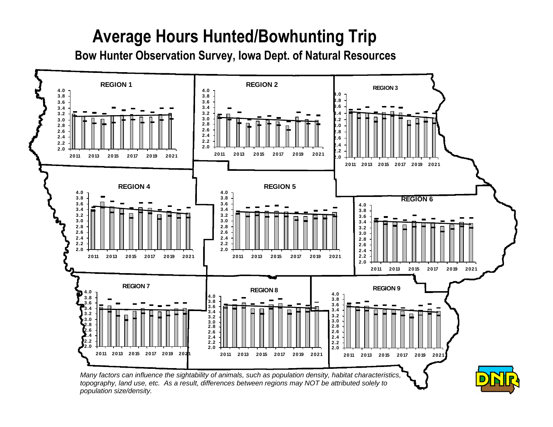## **Average Hours Hunted/Bowhunting Trip**